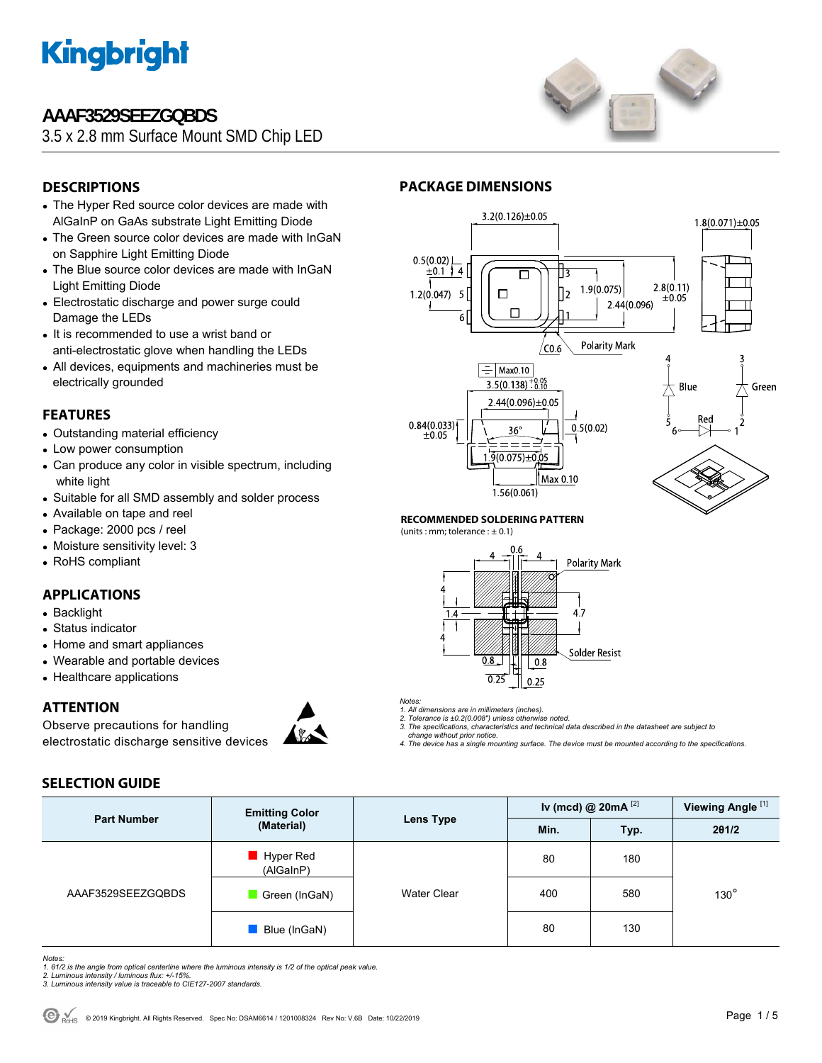

### **AAAF3529SEEZGQBDS**

3.5 x 2.8 mm Surface Mount SMD Chip LED



### **DESCRIPTIONS**

- The Hyper Red source color devices are made with AlGaInP on GaAs substrate Light Emitting Diode
- The Green source color devices are made with InGaN on Sapphire Light Emitting Diode
- The Blue source color devices are made with InGaN Light Emitting Diode
- Electrostatic discharge and power surge could Damage the LEDs
- It is recommended to use a wrist band or anti-electrostatic glove when handling the LEDs
- All devices, equipments and machineries must be electrically grounded

#### **FEATURES**

- Outstanding material efficiency
- Low power consumption
- Can produce any color in visible spectrum, including white light
- Suitable for all SMD assembly and solder process
- Available on tape and reel
- Package: 2000 pcs / reel
- Moisture sensitivity level: 3
- RoHS compliant

#### **APPLICATIONS**

- Backlight
- Status indicator
- Home and smart appliances
- Wearable and portable devices
- Healthcare applications

**SELECTION GUIDE** 

#### **ATTENTION**

Observe precautions for handling electrostatic discharge sensitive devices



## **PACKAGE DIMENSIONS**



#### **RECOMMENDED SOLDERING PATTERN**

(units : mm; tolerance :  $\pm$  0.1)



*Notes:* 

*1. All dimensions are in millimeters (inches). 2. Tolerance is ±0.2(0.008") unless otherwise noted.* 

*3. The specifications, characteristics and technical data described in the datasheet are subject to change without prior notice.* 

*4. The device has a single mounting surface. The device must be mounted according to the specifications.* 

#### **Part Number Emitting Color**<br> **Color Emitting Color Color Color Color Color Color Color Color Color Color Color Color Color Color Color Color Color Color Color Color Color Colo Lens Type Iv (mcd) @ 20mA** [2] **Viewing Angle** [1] **Min. Typ. 2θ1/2**  AAAF3529SEEZGQBDS ■ Hyper Red (AlGaInP) Water Clear 80 180 ■ Green (InGaN) | Water Clear | 400 | 580 ■ Blue (InGaN) | 80 130 130°

*Notes:* 

*1. θ1/2 is the angle from optical centerline where the luminous intensity is 1/2 of the optical peak value. 2. Luminous intensity / luminous flux: +/-15%.* 

*3. Luminous intensity value is traceable to CIE127-2007 standards.*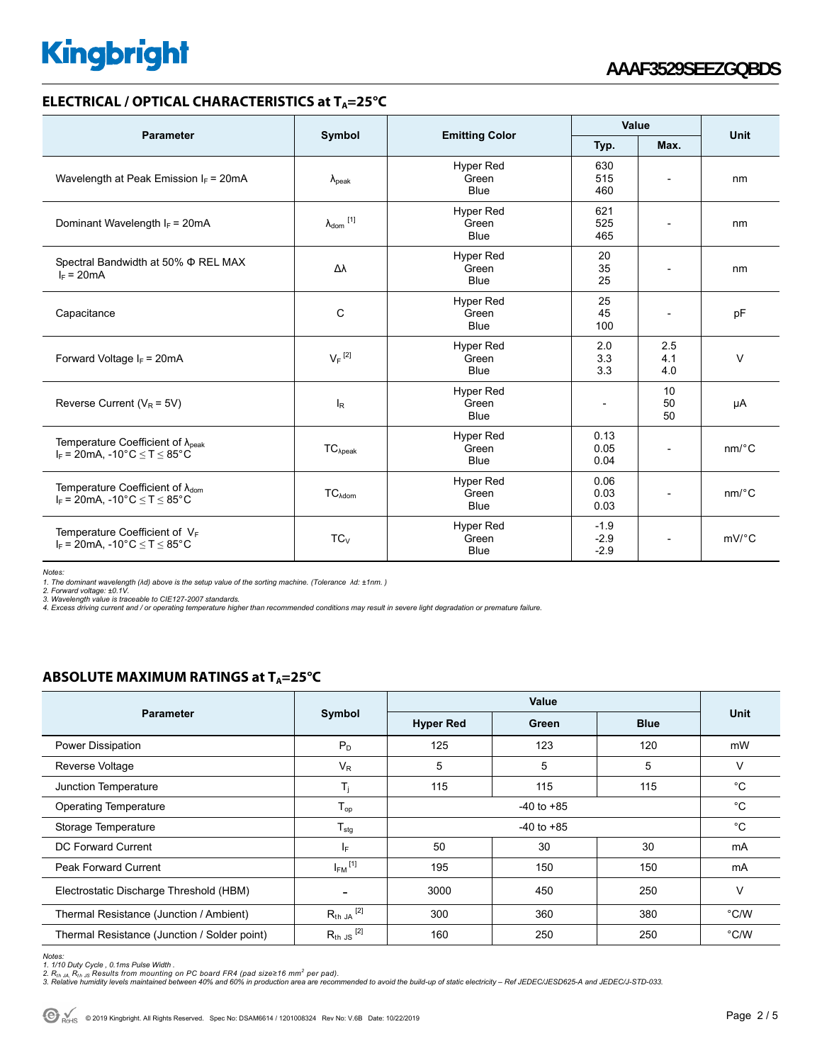#### **ELECTRICAL / OPTICAL CHARACTERISTICS at T<sub>A</sub>=25°C**

| <b>Parameter</b>                                                                            |                            |                                          | Value                      |                          |                       |  |
|---------------------------------------------------------------------------------------------|----------------------------|------------------------------------------|----------------------------|--------------------------|-----------------------|--|
|                                                                                             | Symbol                     | <b>Emitting Color</b>                    | Typ.                       | Max.                     | Unit                  |  |
| Wavelength at Peak Emission $I_F$ = 20mA                                                    | $\lambda_{\rm peak}$       | <b>Hyper Red</b><br>Green<br><b>Blue</b> | 630<br>515<br>460          | $\overline{\phantom{a}}$ | nm                    |  |
| Dominant Wavelength $I_F = 20 \text{mA}$                                                    | $\lambda_{\text{dom}}$ [1] | <b>Hyper Red</b><br>Green<br><b>Blue</b> | 621<br>525<br>465          | $\overline{a}$           | nm                    |  |
| Spectral Bandwidth at 50% $\Phi$ REL MAX<br>$I_F = 20mA$                                    | Δλ                         | <b>Hyper Red</b><br>Green<br><b>Blue</b> | 20<br>35<br>25             | $\overline{a}$           | nm                    |  |
| Capacitance                                                                                 | C                          | <b>Hyper Red</b><br>Green<br><b>Blue</b> | 25<br>45<br>100            | $\overline{\phantom{a}}$ | pF                    |  |
| Forward Voltage $I_F$ = 20mA                                                                | $V_F$ <sup>[2]</sup>       | <b>Hyper Red</b><br>Green<br><b>Blue</b> | 2.0<br>3.3<br>3.3          | 2.5<br>4.1<br>4.0        | $\vee$                |  |
| Reverse Current ( $V_R$ = 5V)                                                               | $I_R$                      | <b>Hyper Red</b><br>Green<br><b>Blue</b> | $\overline{\phantom{0}}$   | 10<br>50<br>50           | μA                    |  |
| Temperature Coefficient of $\lambda_{peak}$<br>$I_F$ = 20mA. -10°C < T < 85°C               | $TC_{\lambda peak}$        | <b>Hyper Red</b><br>Green<br><b>Blue</b> | 0.13<br>0.05<br>0.04       |                          | $nm$ <sup>o</sup> $C$ |  |
| Temperature Coefficient of $\lambda_{\text{dom}}$<br>$I_F = 20mA$ , -10°C $\le T \le 85$ °C | $TC_{\lambda dom}$         | <b>Hyper Red</b><br>Green<br><b>Blue</b> | 0.06<br>0.03<br>0.03       | $\overline{\phantom{a}}$ | $nm$ <sup>o</sup> $C$ |  |
| Temperature Coefficient of $V_F$<br>$I_F = 20mA$ , -10°C $\le T \le 85$ °C                  | $TC_{V}$                   | <b>Hyper Red</b><br>Green<br><b>Blue</b> | $-1.9$<br>$-2.9$<br>$-2.9$ |                          | $mV$ <sup>°</sup> C   |  |

*Notes:* 

*1. The dominant wavelength (λd) above is the setup value of the sorting machine. (Tolerance λd: ±1nm. )* 

*2. Forward voltage: ±0.1V. 3. Wavelength value is traceable to CIE127-2007 standards.* 

*4. Excess driving current and / or operating temperature higher than recommended conditions may result in severe light degradation or premature failure.* 

#### **ABSOLUTE MAXIMUM RATINGS at T<sub>A</sub>=25°C**

| <b>Parameter</b>                             | Symbol                   | Value            |       |             |               |
|----------------------------------------------|--------------------------|------------------|-------|-------------|---------------|
|                                              |                          | <b>Hyper Red</b> | Green | <b>Blue</b> | <b>Unit</b>   |
| Power Dissipation                            | $P_D$                    | 125              | 123   | 120         | mW            |
| Reverse Voltage                              | $V_{R}$                  | 5                | 5     | 5           | V             |
| Junction Temperature                         | $T_j$                    | 115              | 115   | 115         | °C            |
| <b>Operating Temperature</b>                 | $T_{op}$                 | $-40$ to $+85$   |       |             | °C            |
| Storage Temperature                          | $T_{\text{stg}}$         | $-40$ to $+85$   |       |             | °C            |
| DC Forward Current                           | lF.                      | 50               | 30    | 30          | mA            |
| <b>Peak Forward Current</b>                  | $I_{FM}$ <sup>[1]</sup>  | 195              | 150   | 150         | mA            |
| Electrostatic Discharge Threshold (HBM)      | $\overline{\phantom{a}}$ | 3000             | 450   | 250         | V             |
| Thermal Resistance (Junction / Ambient)      | $R_{th}$ JA $^{[2]}$     | 300              | 360   | 380         | $\degree$ C/W |
| Thermal Resistance (Junction / Solder point) | $R_{th}$ JS $^{[2]}$     | 160              | 250   | 250         | $\degree$ C/W |

*Notes:* 

<sup>1. 1/10</sup> Duty Cycle , 0.1ms Pulse Width .<br>2. R<sub>th JA</sub>, R<sub>th JS</sub> Results from mounting on PC board FR4 (pad size≥16 mm<sup>2</sup> per pad).<br>3. Relative humidity levels maintained between 40% and 60% in production area are recommend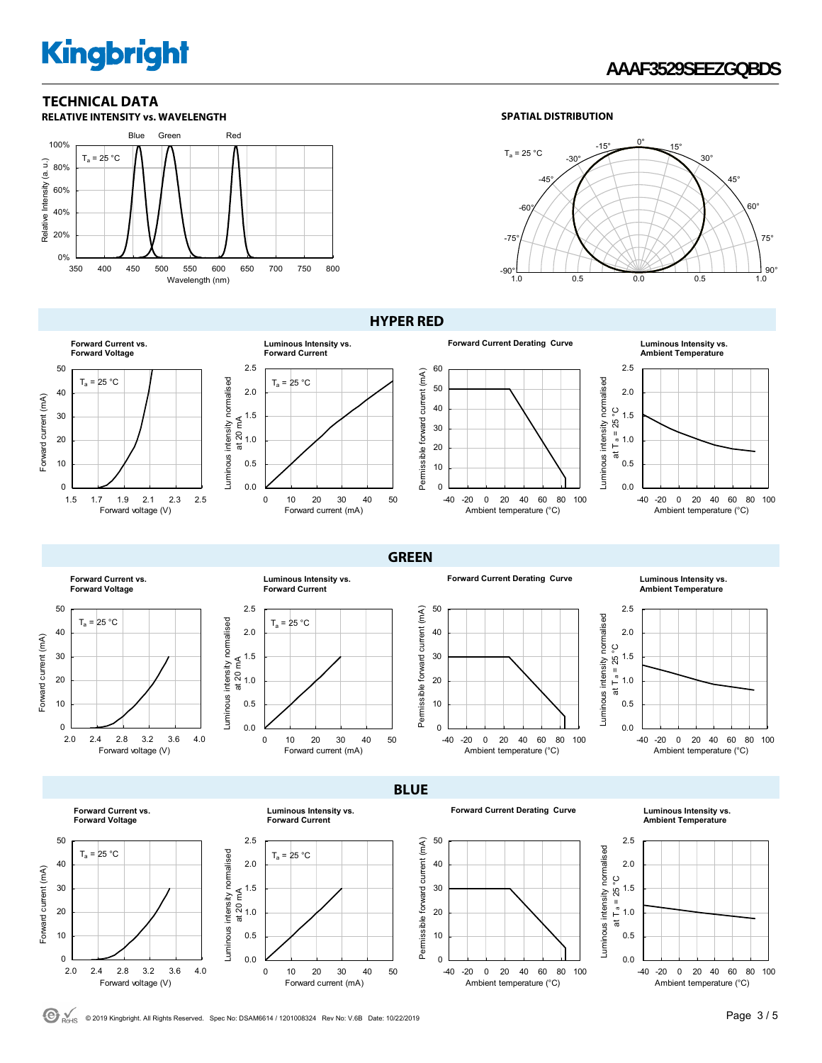### **AAAF3529SEEZGQBDS**

### **TECHNICAL DATA**



#### **SPATIAL DISTRIBUTION**



**Forward Current vs. Forward Voltage** 50  $T_a = 25 °C$ 40 Forward current (mA) Forward current (mA) 30 20 10  $\Omega$ 1.5 1.7 1.9 2.1 2.3 2.5 Forward voltage (V)

#### **HYPER RED**









**Forward Current vs. Forward Voltage** 50  $T_a = 25 °C$ 40 Forward current (mA) Forward current (mA) 30 20 10 0 2.0 2.4 2.8 3.2 3.6 4.0 Forward voltage (V)

> **Forward Current vs. Forward Voltage**



**Forward Current Derating Curve Luminous Intensity vs.** 

50 Luminous intensity normalised Luminous intensity normalised 40 30 20 10 0 -40 -20 0 20 40 60 80 100 Ambient temperature (°C)

#### **Ambient Temperature**



**BLUE** 

**GREEN** 

Permissible forward current (mA)

Permissible forward current (mA)

Permissible forward current (mA)

Permissible forward current (mA)





**Luminous Intensity vs. Forward Current**







**Ambient Temperature**



C ROHS © 2019 Kingbright. All Rights Reserved. Spec No: DSAM6614 / 1201008324 Rev No: V.6B Date: 10/22/2019 **Page 3 / 5 Page 3 / 5** 

Luminous intensity normalised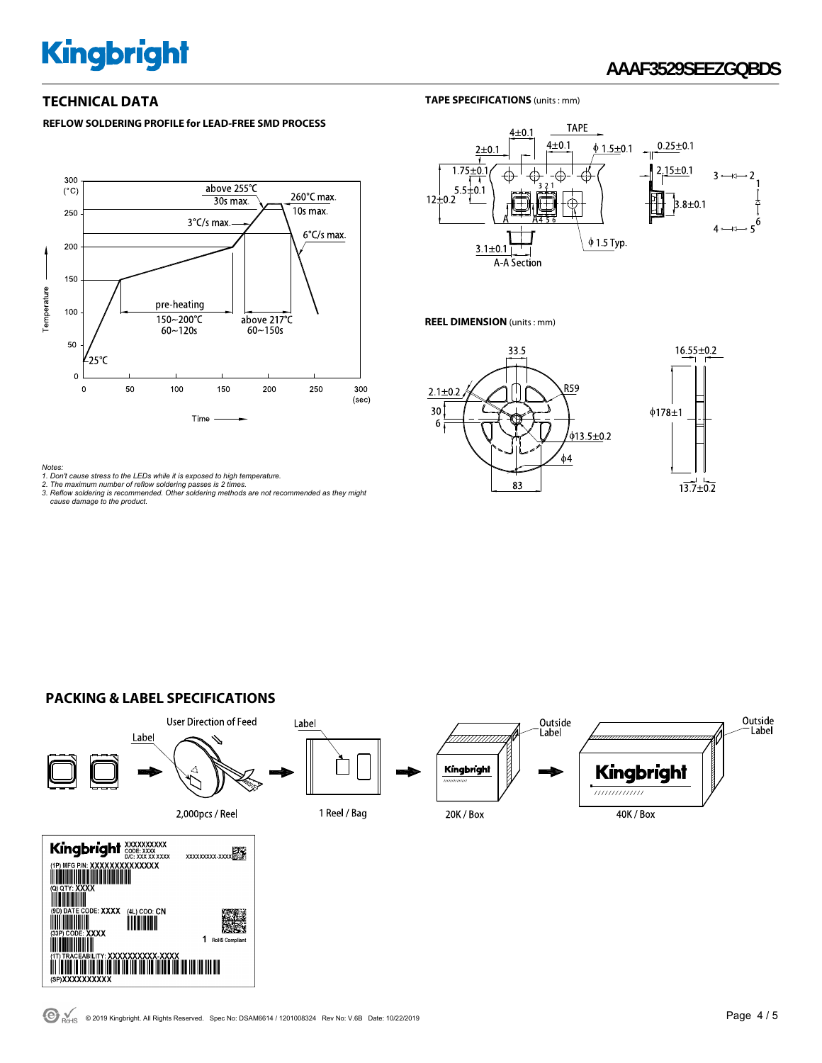## **AAAF3529SEEZGQBDS**

#### **REFLOW SOLDERING PROFILE for LEAD-FREE SMD PROCESS**



#### **TECHNICAL DATA** TAPE SPECIFICATIONS (units : mm)



#### **REEL DIMENSION** (units : mm)





#### **PACKING & LABEL SPECIFICATIONS**



Notes:<br>1. Don't cause stress to the LEDs while it is exposed to high temperature.<br>2. The maximum number of reflow soldering passes is 2 times.<br>3. Reflow soldering is recommended. Other soldering methods are not recommended